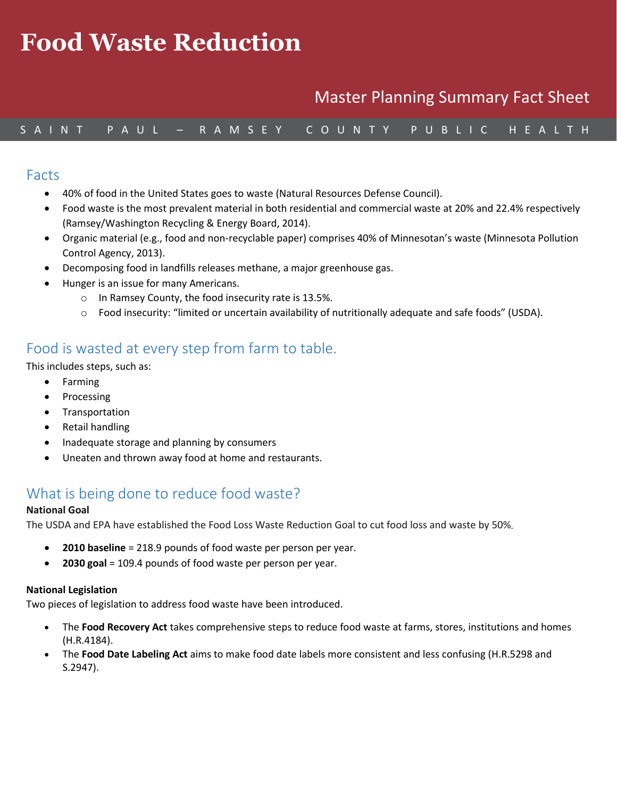# *Medition and* **Health** and  $\frac{1}{2}$ **Food Waste Reduction**

#### **Wellness Action Team** Master Planning Summary Fact Sheet

### S A I N T P A U L – R A M S E Y C O U N T Y P U B L I C H E A L T H

#### Facts

- 40% of food in the United States goes to waste (Natural Resources Defense Council).
- Food waste is the most prevalent material in both residential and commercial waste at 20% and 22.4% respectively (Ramsey/Washington Recycling & Energy Board, 2014).
- Organic material (e.g., food and non-recyclable paper) comprises 40% of Minnesotan's waste (Minnesota Pollution Control Agency, 2013).
- Decomposing food in landfills releases methane, a major greenhouse gas.
- Hunger is an issue for many Americans.
	- o In Ramsey County, the food insecurity rate is 13.5%.
	- o Food insecurity: "limited or uncertain availability of nutritionally adequate and safe foods" (USDA).

# Food is wasted at every step from farm to table.

This includes steps, such as:

- Farming
- Processing
- Transportation
- Retail handling
- Inadequate storage and planning by consumers
- Uneaten and thrown away food at home and restaurants.

### What is being done to reduce food waste?

#### **National Goal**

The USDA and EPA have established the Food Loss Waste Reduction Goal to cut food loss and waste by 50%

- **2010 baseline** = 218.9 pounds of food waste per person per year.
- **2030 goal** = 109.4 pounds of food waste per person per year.

#### **National Legislation**

Two pieces of legislation to address food waste have been introduced.

- The **Food Recovery Act** takes comprehensive steps to reduce food waste at farms, stores, institutions and homes (H.R.4184).
- The **Food Date Labeling Act** aims to make food date labels more consistent and less confusing (H.R.5298 and S.2947).